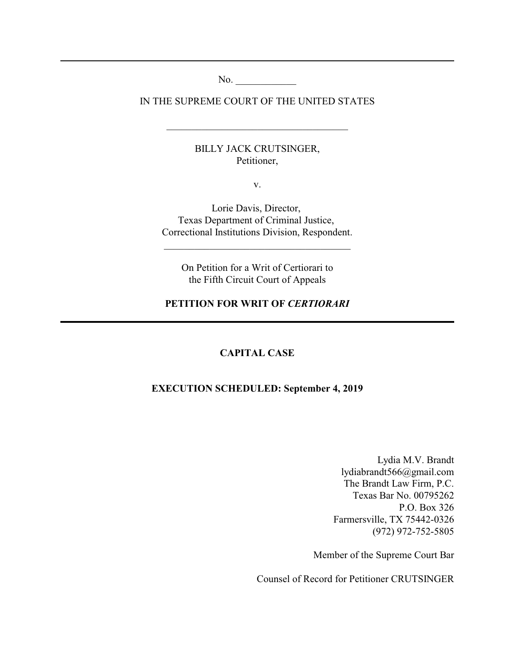No.

IN THE SUPREME COURT OF THE UNITED STATES

\_\_\_\_\_\_\_\_\_\_\_\_\_\_\_\_\_\_\_\_\_\_\_\_\_\_\_\_\_\_\_\_\_\_\_\_

BILLY JACK CRUTSINGER, Petitioner,

v.

Lorie Davis, Director, Texas Department of Criminal Justice, Correctional Institutions Division, Respondent.

\_\_\_\_\_\_\_\_\_\_\_\_\_\_\_\_\_\_\_\_\_\_\_\_\_\_\_\_\_\_\_\_\_\_\_\_\_

On Petition for a Writ of Certiorari to the Fifth Circuit Court of Appeals

#### **PETITION FOR WRIT OF** *CERTIORARI*

### **CAPITAL CASE**

### **EXECUTION SCHEDULED: September 4, 2019**

Lydia M.V. Brandt lydiabrandt566@gmail.com The Brandt Law Firm, P.C. Texas Bar No. 00795262 P.O. Box 326 Farmersville, TX 75442-0326 (972) 972-752-5805

Member of the Supreme Court Bar

Counsel of Record for Petitioner CRUTSINGER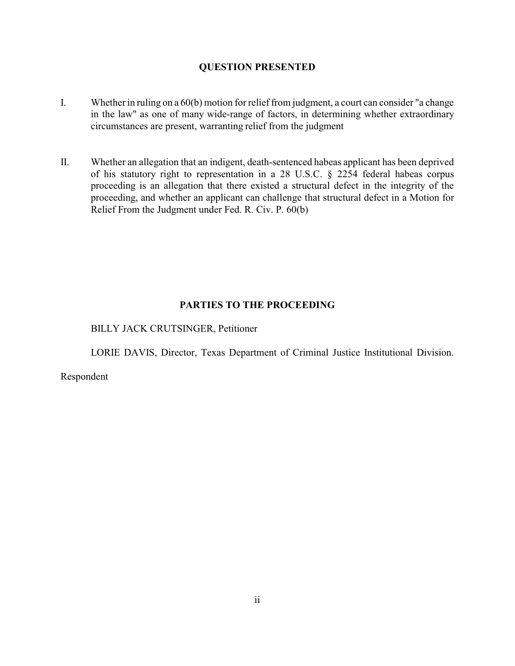### **QUESTION PRESENTED**

- I. Whether in ruling on a 60(b) motion for relief from judgment, a court can consider "a change in the law" as one of many wide-range of factors, in determining whether extraordinary circumstances are present, warranting relief from the judgment
- II. Whether an allegation that an indigent, death-sentenced habeas applicant has been deprived of his statutory right to representation in a 28 U.S.C. § 2254 federal habeas corpus proceeding is an allegation that there existed a structural defect in the integrity of the proceeding, and whether an applicant can challenge that structural defect in a Motion for Relief From the Judgment under Fed. R. Civ. P. 60(b)

## **PARTIES TO THE PROCEEDING**

BILLY JACK CRUTSINGER, Petitioner

LORIE DAVIS, Director, Texas Department of Criminal Justice Institutional Division.

Respondent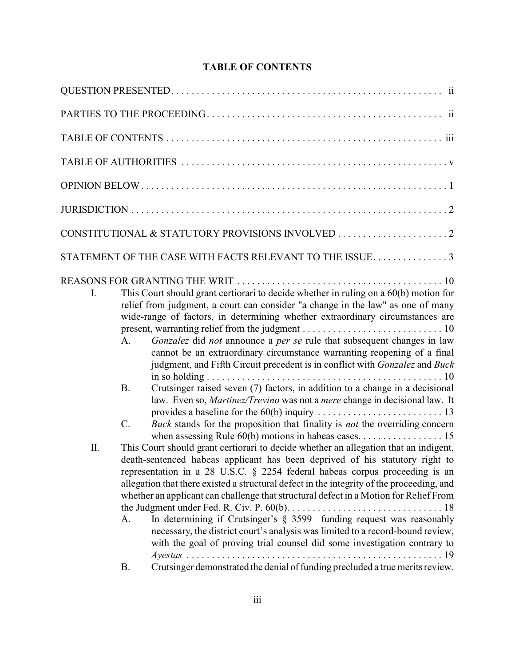# **TABLE OF CONTENTS**

|    | STATEMENT OF THE CASE WITH FACTS RELEVANT TO THE ISSUE 3                                                                                                                                                                                                                                                                                                                                                                                                                                                                                                                                                                                                                                                                                                                                        |
|----|-------------------------------------------------------------------------------------------------------------------------------------------------------------------------------------------------------------------------------------------------------------------------------------------------------------------------------------------------------------------------------------------------------------------------------------------------------------------------------------------------------------------------------------------------------------------------------------------------------------------------------------------------------------------------------------------------------------------------------------------------------------------------------------------------|
| I. | This Court should grant certiorari to decide whether in ruling on a 60(b) motion for<br>relief from judgment, a court can consider "a change in the law" as one of many<br>wide-range of factors, in determining whether extraordinary circumstances are<br>Gonzalez did not announce a per se rule that subsequent changes in law<br>A.<br>cannot be an extraordinary circumstance warranting reopening of a final<br>judgment, and Fifth Circuit precedent is in conflict with Gonzalez and Buck<br>Crutsinger raised seven (7) factors, in addition to a change in a decisional<br><b>B.</b><br>law. Even so, Martinez/Trevino was not a mere change in decisional law. It<br>Buck stands for the proposition that finality is not the overriding concern<br>C.                              |
| Π. | This Court should grant certiorari to decide whether an allegation that an indigent,<br>death-sentenced habeas applicant has been deprived of his statutory right to<br>representation in a 28 U.S.C. § 2254 federal habeas corpus proceeding is an<br>allegation that there existed a structural defect in the integrity of the proceeding, and<br>whether an applicant can challenge that structural defect in a Motion for Relief From<br>In determining if Crutsinger's $\S$ 3599 funding request was reasonably<br>А.<br>necessary, the district court's analysis was limited to a record-bound review,<br>with the goal of proving trial counsel did some investigation contrary to<br>$\ldots$ 19<br>Crutsinger demonstrated the denial of funding precluded a true merits review.<br>В. |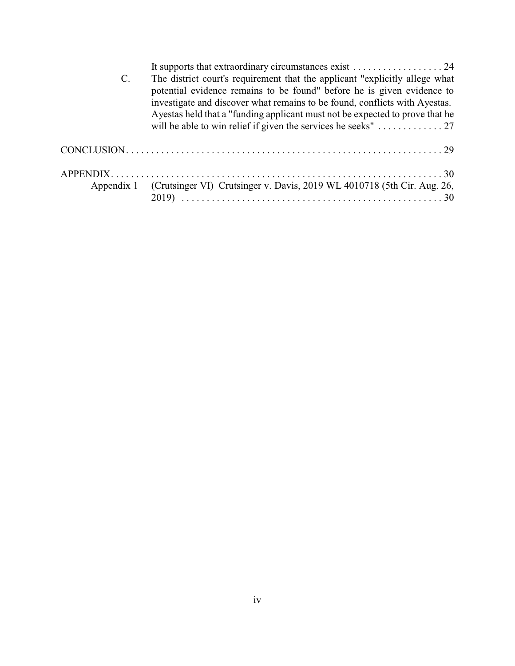| $\mathbf{C}$ . | The district court's requirement that the applicant "explicitly allege what             |
|----------------|-----------------------------------------------------------------------------------------|
|                | potential evidence remains to be found" before he is given evidence to                  |
|                | investigate and discover what remains to be found, conflicts with Ayestas.              |
|                | Ayestas held that a "funding applicant must not be expected to prove that he            |
|                | will be able to win relief if given the services he seeks" $\dots \dots \dots \dots 27$ |
|                |                                                                                         |
|                |                                                                                         |
|                |                                                                                         |
|                | Appendix 1 (Crutsinger VI) Crutsinger v. Davis, 2019 WL 4010718 (5th Cir. Aug. 26,      |
|                |                                                                                         |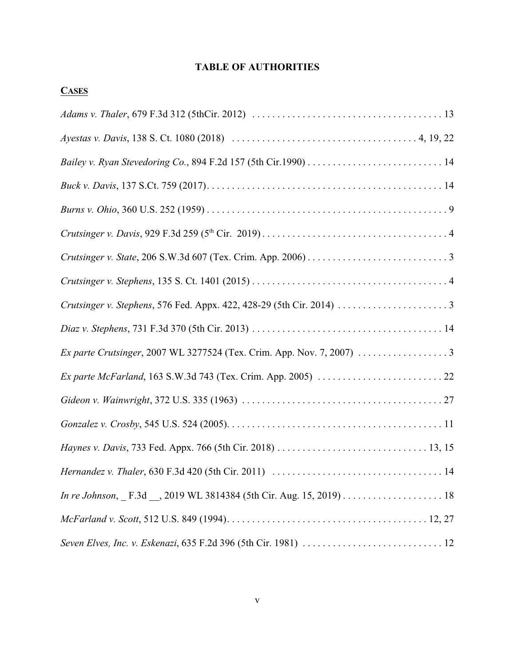# **TABLE OF AUTHORITIES**

| r |
|---|
|---|

| Ex parte Crutsinger, 2007 WL 3277524 (Tex. Crim. App. Nov. 7, 2007) 3 |
|-----------------------------------------------------------------------|
|                                                                       |
|                                                                       |
|                                                                       |
|                                                                       |
|                                                                       |
|                                                                       |
|                                                                       |
|                                                                       |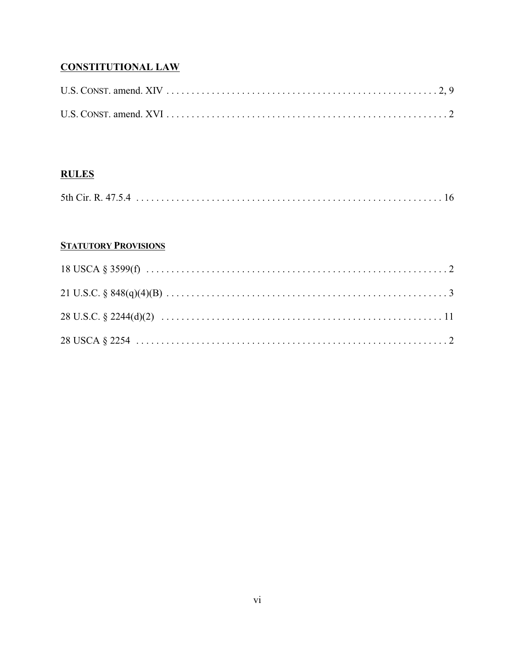# **CONSTITUTIONAL LAW**

## **RULES**

|--|--|

## **STATUTORY PROVISIONS**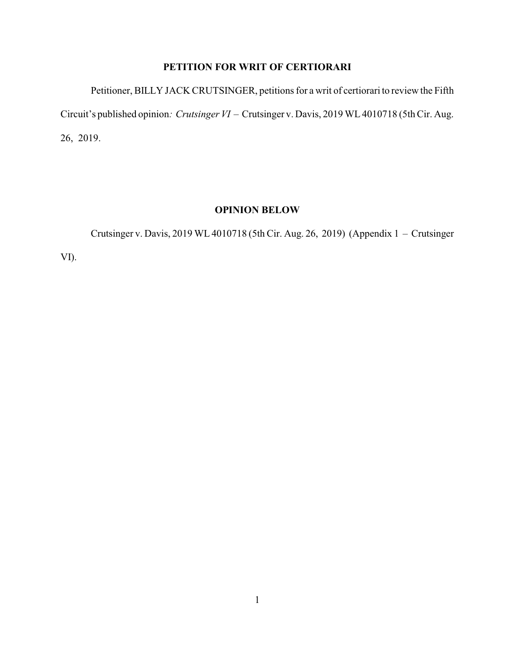# **PETITION FOR WRIT OF CERTIORARI**

Petitioner, BILLY JACK CRUTSINGER, petitions for a writ of certiorari to review the Fifth Circuit's published opinion*: Crutsinger VI* – Crutsinger v. Davis, 2019 WL4010718 (5th Cir. Aug. 26, 2019.

## **OPINION BELOW**

Crutsinger v. Davis, 2019 WL 4010718 (5th Cir. Aug. 26, 2019) (Appendix 1 – Crutsinger

VI).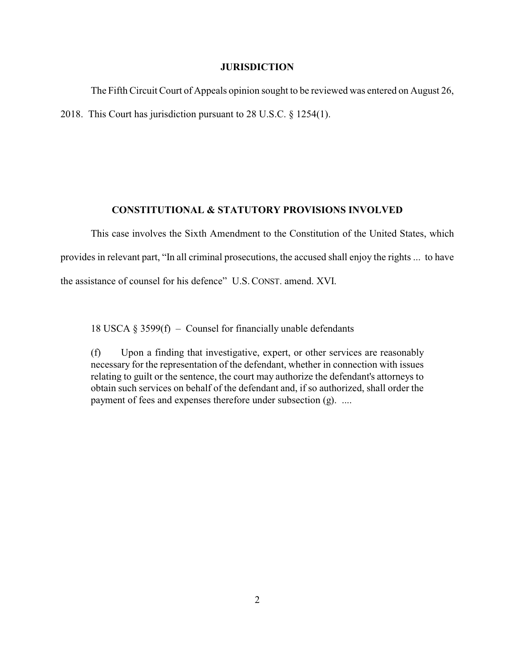#### **JURISDICTION**

The Fifth Circuit Court of Appeals opinion sought to be reviewed was entered on August 26, 2018. This Court has jurisdiction pursuant to 28 U.S.C. § 1254(1).

#### **CONSTITUTIONAL & STATUTORY PROVISIONS INVOLVED**

This case involves the Sixth Amendment to the Constitution of the United States, which provides in relevant part, "In all criminal prosecutions, the accused shall enjoy the rights ... to have the assistance of counsel for his defence" U.S.CONST. amend. XVI.

18 USCA  $\S 3599(f)$  – Counsel for financially unable defendants

(f) Upon a finding that investigative, expert, or other services are reasonably necessary for the representation of the defendant, whether in connection with issues relating to guilt or the sentence, the court may authorize the defendant's attorneys to obtain such services on behalf of the defendant and, if so authorized, shall order the payment of fees and expenses therefore under subsection (g). ....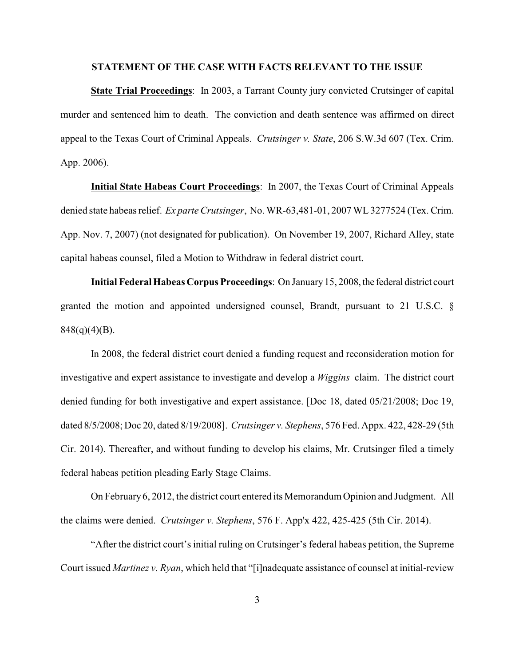#### **STATEMENT OF THE CASE WITH FACTS RELEVANT TO THE ISSUE**

**State Trial Proceedings**: In 2003, a Tarrant County jury convicted Crutsinger of capital murder and sentenced him to death. The conviction and death sentence was affirmed on direct appeal to the Texas Court of Criminal Appeals. *Crutsinger v. State*, 206 S.W.3d 607 (Tex. Crim. App. 2006).

**Initial State Habeas Court Proceedings**: In 2007, the Texas Court of Criminal Appeals denied state habeas relief. *Ex parte Crutsinger*, No. WR-63,481-01, 2007 WL3277524 (Tex. Crim. App. Nov. 7, 2007) (not designated for publication). On November 19, 2007, Richard Alley, state capital habeas counsel, filed a Motion to Withdraw in federal district court.

**Initial Federal Habeas Corpus Proceedings**: On January15, 2008, the federal district court granted the motion and appointed undersigned counsel, Brandt, pursuant to 21 U.S.C. §  $848(q)(4)(B)$ .

In 2008, the federal district court denied a funding request and reconsideration motion for investigative and expert assistance to investigate and develop a *Wiggins* claim. The district court denied funding for both investigative and expert assistance. [Doc 18, dated 05/21/2008; Doc 19, dated 8/5/2008; Doc 20, dated 8/19/2008]. *Crutsinger v. Stephens*, 576 Fed. Appx. 422, 428-29 (5th Cir. 2014). Thereafter, and without funding to develop his claims, Mr. Crutsinger filed a timely federal habeas petition pleading Early Stage Claims.

On February 6, 2012, the district court entered its Memorandum Opinion and Judgment. All the claims were denied. *Crutsinger v. Stephens*, 576 F. App'x 422, 425-425 (5th Cir. 2014).

"After the district court's initial ruling on Crutsinger's federal habeas petition, the Supreme Court issued *Martinez v. Ryan*, which held that "[i]nadequate assistance of counsel at initial-review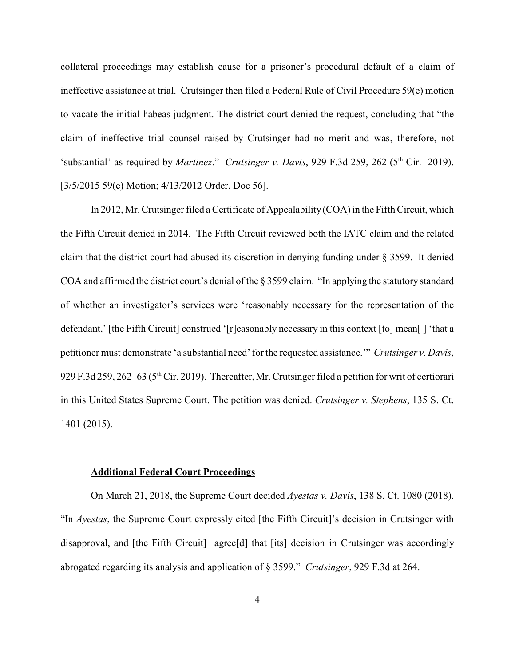collateral proceedings may establish cause for a prisoner's procedural default of a claim of ineffective assistance at trial. Crutsinger then filed a Federal Rule of Civil Procedure 59(e) motion to vacate the initial habeas judgment. The district court denied the request, concluding that "the claim of ineffective trial counsel raised by Crutsinger had no merit and was, therefore, not 'substantial' as required by *Martinez*." *Crutsinger v. Davis*, 929 F.3d 259, 262 (5<sup>th</sup> Cir. 2019). [3/5/2015 59(e) Motion; 4/13/2012 Order, Doc 56].

In 2012, Mr. Crutsinger filed a Certificate of Appealability (COA) in the Fifth Circuit, which the Fifth Circuit denied in 2014. The Fifth Circuit reviewed both the IATC claim and the related claim that the district court had abused its discretion in denying funding under § 3599. It denied COA and affirmed the district court's denial of the § 3599 claim. "In applying the statutory standard of whether an investigator's services were 'reasonably necessary for the representation of the defendant,' [the Fifth Circuit] construed '[r]easonably necessary in this context [to] mean[ ] 'that a petitioner must demonstrate 'a substantial need' for the requested assistance.'" *Crutsinger v. Davis*, 929 F.3d 259, 262–63 (5<sup>th</sup> Cir. 2019). Thereafter, Mr. Crutsinger filed a petition for writ of certiorari in this United States Supreme Court. The petition was denied. *Crutsinger v. Stephens*, 135 S. Ct. 1401 (2015).

### **Additional Federal Court Proceedings**

On March 21, 2018, the Supreme Court decided *Ayestas v. Davis*, 138 S. Ct. 1080 (2018). "In *Ayestas*, the Supreme Court expressly cited [the Fifth Circuit]'s decision in Crutsinger with disapproval, and [the Fifth Circuit] agree[d] that [its] decision in Crutsinger was accordingly abrogated regarding its analysis and application of § 3599." *Crutsinger*, 929 F.3d at 264.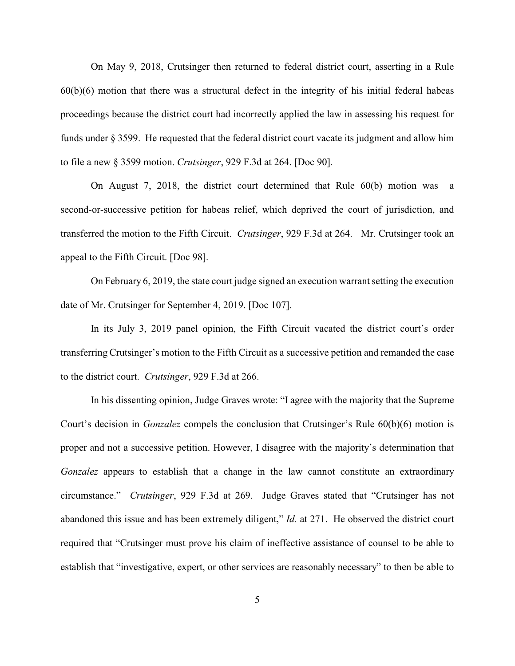On May 9, 2018, Crutsinger then returned to federal district court, asserting in a Rule 60(b)(6) motion that there was a structural defect in the integrity of his initial federal habeas proceedings because the district court had incorrectly applied the law in assessing his request for funds under § 3599. He requested that the federal district court vacate its judgment and allow him to file a new § 3599 motion. *Crutsinger*, 929 F.3d at 264. [Doc 90].

On August 7, 2018, the district court determined that Rule 60(b) motion was a second-or-successive petition for habeas relief, which deprived the court of jurisdiction, and transferred the motion to the Fifth Circuit. *Crutsinger*, 929 F.3d at 264. Mr. Crutsinger took an appeal to the Fifth Circuit. [Doc 98].

On February 6, 2019, the state court judge signed an execution warrant setting the execution date of Mr. Crutsinger for September 4, 2019. [Doc 107].

In its July 3, 2019 panel opinion, the Fifth Circuit vacated the district court's order transferring Crutsinger's motion to the Fifth Circuit as a successive petition and remanded the case to the district court. *Crutsinger*, 929 F.3d at 266.

In his dissenting opinion, Judge Graves wrote: "I agree with the majority that the Supreme Court's decision in *Gonzalez* compels the conclusion that Crutsinger's Rule 60(b)(6) motion is proper and not a successive petition. However, I disagree with the majority's determination that *Gonzalez* appears to establish that a change in the law cannot constitute an extraordinary circumstance." *Crutsinger*, 929 F.3d at 269. Judge Graves stated that "Crutsinger has not abandoned this issue and has been extremely diligent," *Id.* at 271. He observed the district court required that "Crutsinger must prove his claim of ineffective assistance of counsel to be able to establish that "investigative, expert, or other services are reasonably necessary" to then be able to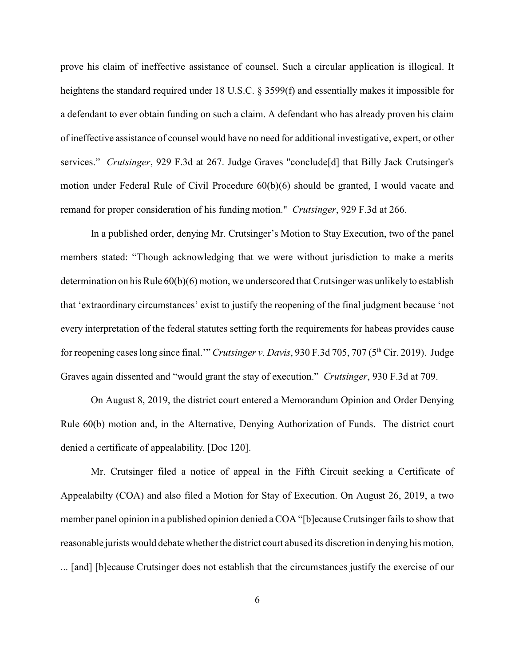prove his claim of ineffective assistance of counsel. Such a circular application is illogical. It heightens the standard required under 18 U.S.C. § 3599(f) and essentially makes it impossible for a defendant to ever obtain funding on such a claim. A defendant who has already proven his claim of ineffective assistance of counsel would have no need for additional investigative, expert, or other services." *Crutsinger*, 929 F.3d at 267. Judge Graves "conclude[d] that Billy Jack Crutsinger's motion under Federal Rule of Civil Procedure 60(b)(6) should be granted, I would vacate and remand for proper consideration of his funding motion." *Crutsinger*, 929 F.3d at 266.

In a published order, denying Mr. Crutsinger's Motion to Stay Execution, two of the panel members stated: "Though acknowledging that we were without jurisdiction to make a merits determination on his Rule 60(b)(6) motion, we underscored that Crutsinger was unlikely to establish that 'extraordinary circumstances' exist to justify the reopening of the final judgment because 'not every interpretation of the federal statutes setting forth the requirements for habeas provides cause for reopening cases long since final."" *Crutsinger v. Davis*, 930 F.3d 705, 707 (5<sup>th</sup> Cir. 2019). Judge Graves again dissented and "would grant the stay of execution." *Crutsinger*, 930 F.3d at 709.

On August 8, 2019, the district court entered a Memorandum Opinion and Order Denying Rule 60(b) motion and, in the Alternative, Denying Authorization of Funds. The district court denied a certificate of appealability. [Doc 120].

Mr. Crutsinger filed a notice of appeal in the Fifth Circuit seeking a Certificate of Appealabilty (COA) and also filed a Motion for Stay of Execution. On August 26, 2019, a two member panel opinion in a published opinion denied a COA "[b]ecause Crutsinger fails to show that reasonable jurists would debate whether the district court abused its discretion in denying his motion, ... [and] [b]ecause Crutsinger does not establish that the circumstances justify the exercise of our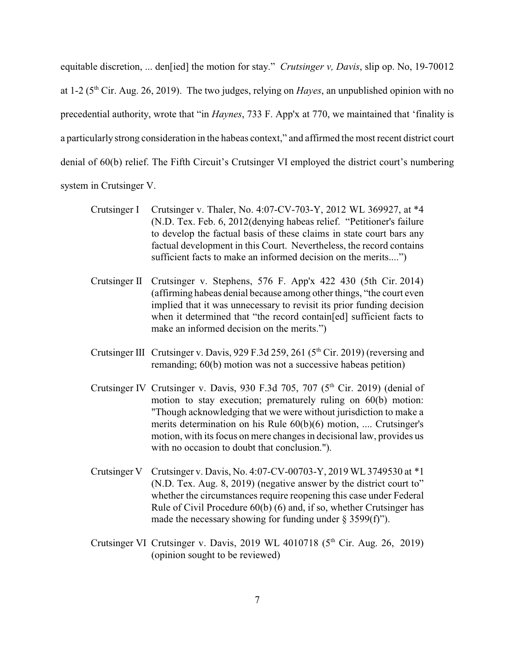equitable discretion, ... den[ied] the motion for stay." *Crutsinger v, Davis*, slip op. No, 19-70012 at 1-2 (5<sup>th</sup> Cir. Aug. 26, 2019). The two judges, relying on *Hayes*, an unpublished opinion with no precedential authority, wrote that "in *Haynes*, 733 F. App'x at 770, we maintained that 'finality is a particularly strong consideration in the habeas context," and affirmed the most recent district court denial of 60(b) relief. The Fifth Circuit's Crutsinger VI employed the district court's numbering system in Crutsinger V.

- Crutsinger I Crutsinger v. Thaler, No. 4:07-CV-703-Y, 2012 WL 369927, at \*4 (N.D. Tex. Feb. 6, 2012(denying habeas relief. "Petitioner's failure to develop the factual basis of these claims in state court bars any factual development in this Court. Nevertheless, the record contains sufficient facts to make an informed decision on the merits....")
- Crutsinger II Crutsinger v. Stephens, 576 F. App'x 422 430 (5th Cir. 2014) (affirming habeas denial because among other things, "the court even implied that it was unnecessary to revisit its prior funding decision when it determined that "the record contain[ed] sufficient facts to make an informed decision on the merits.")
- Crutsinger III Crutsinger v. Davis, 929 F.3d 259, 261 (5<sup>th</sup> Cir. 2019) (reversing and remanding; 60(b) motion was not a successive habeas petition)
- Crutsinger IV Crutsinger v. Davis, 930 F.3d 705, 707 ( $5<sup>th</sup>$  Cir. 2019) (denial of motion to stay execution; prematurely ruling on 60(b) motion: "Though acknowledging that we were without jurisdiction to make a merits determination on his Rule 60(b)(6) motion, .... Crutsinger's motion, with its focus on mere changes in decisional law, provides us with no occasion to doubt that conclusion.").
- Crutsinger V Crutsinger v. Davis, No. 4:07-CV-00703-Y, 2019 WL3749530 at \*1 (N.D. Tex. Aug. 8, 2019) (negative answer by the district court to" whether the circumstances require reopening this case under Federal Rule of Civil Procedure 60(b) (6) and, if so, whether Crutsinger has made the necessary showing for funding under  $\S$  3599(f)").
- Crutsinger VI Crutsinger v. Davis, 2019 WL 4010718  $(5<sup>th</sup>$  Cir. Aug. 26, 2019) (opinion sought to be reviewed)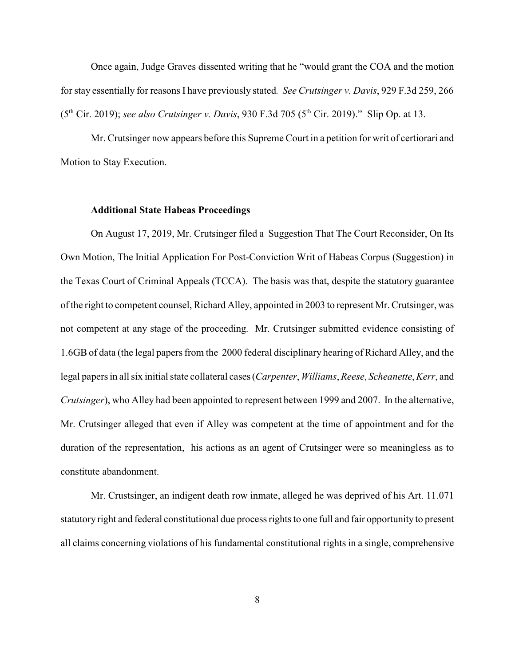Once again, Judge Graves dissented writing that he "would grant the COA and the motion for stay essentially for reasons I have previously stated*. See Crutsinger v. Davis*, 929 F.3d 259, 266 (5<sup>th</sup> Cir. 2019); *see also Crutsinger v. Davis*, 930 F.3d 705 (5<sup>th</sup> Cir. 2019)." Slip Op. at 13.

Mr. Crutsinger now appears before this Supreme Court in a petition for writ of certiorari and Motion to Stay Execution.

#### **Additional State Habeas Proceedings**

On August 17, 2019, Mr. Crutsinger filed a Suggestion That The Court Reconsider, On Its Own Motion, The Initial Application For Post-Conviction Writ of Habeas Corpus (Suggestion) in the Texas Court of Criminal Appeals (TCCA). The basis was that, despite the statutory guarantee of the right to competent counsel, Richard Alley, appointed in 2003 to represent Mr. Crutsinger, was not competent at any stage of the proceeding. Mr. Crutsinger submitted evidence consisting of 1.6GBof data (the legal papers from the 2000 federal disciplinary hearing of Richard Alley, and the legal papers in all six initial state collateral cases (*Carpenter*, *Williams*, *Reese*, *Scheanette*, *Kerr*, and *Crutsinger*), who Alley had been appointed to represent between 1999 and 2007. In the alternative, Mr. Crutsinger alleged that even if Alley was competent at the time of appointment and for the duration of the representation, his actions as an agent of Crutsinger were so meaningless as to constitute abandonment.

Mr. Crustsinger, an indigent death row inmate, alleged he was deprived of his Art. 11.071 statutory right and federal constitutional due process rights to one full and fair opportunity to present all claims concerning violations of his fundamental constitutional rights in a single, comprehensive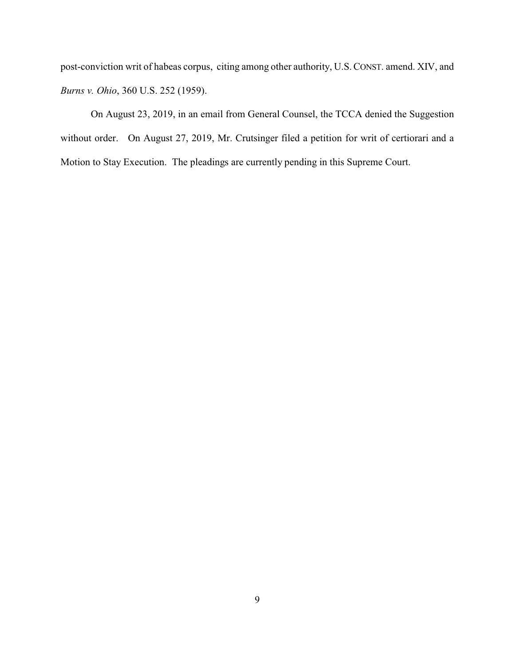post-conviction writ of habeas corpus, citing among other authority, U.S.CONST. amend. XIV, and *Burns v. Ohio*, 360 U.S. 252 (1959).

On August 23, 2019, in an email from General Counsel, the TCCA denied the Suggestion without order. On August 27, 2019, Mr. Crutsinger filed a petition for writ of certiorari and a Motion to Stay Execution. The pleadings are currently pending in this Supreme Court.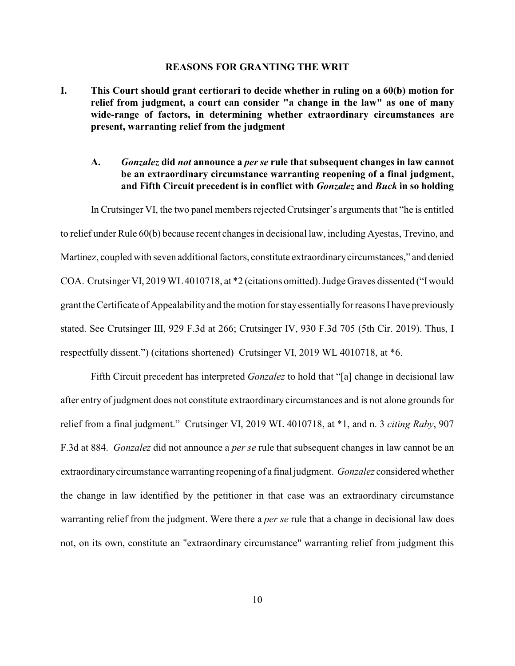#### **REASONS FOR GRANTING THE WRIT**

- **I. This Court should grant certiorari to decide whether in ruling on a 60(b) motion for relief from judgment, a court can consider "a change in the law" as one of many wide-range of factors, in determining whether extraordinary circumstances are present, warranting relief from the judgment** 
	- **A.** *Gonzalez* **did** *not* **announce a** *per se* **rule that subsequent changes in law cannot be an extraordinary circumstance warranting reopening of a final judgment, and Fifth Circuit precedent is in conflict with** *Gonzalez* **and** *Buck* **in so holding**

In Crutsinger VI, the two panel members rejected Crutsinger's arguments that "he is entitled to relief under Rule 60(b) because recent changes in decisional law, including Ayestas, Trevino, and Martinez, coupled with seven additional factors, constitute extraordinarycircumstances," and denied COA. Crutsinger VI, 2019 WL4010718, at \*2 (citations omitted). Judge Graves dissented ("Iwould grant the Certificate of Appealability and the motion for stay essentially for reasons I have previously stated. See Crutsinger III, 929 F.3d at 266; Crutsinger IV, 930 F.3d 705 (5th Cir. 2019). Thus, I respectfully dissent.") (citations shortened) Crutsinger VI, 2019 WL 4010718, at \*6.

Fifth Circuit precedent has interpreted *Gonzalez* to hold that "[a] change in decisional law after entry of judgment does not constitute extraordinary circumstances and is not alone grounds for relief from a final judgment." Crutsinger VI, 2019 WL 4010718, at \*1, and n. 3 *citing Raby*, 907 F.3d at 884. *Gonzalez* did not announce a *per se* rule that subsequent changes in law cannot be an extraordinarycircumstance warranting reopening of a final judgment. *Gonzalez* considered whether the change in law identified by the petitioner in that case was an extraordinary circumstance warranting relief from the judgment. Were there a *per se* rule that a change in decisional law does not, on its own, constitute an "extraordinary circumstance" warranting relief from judgment this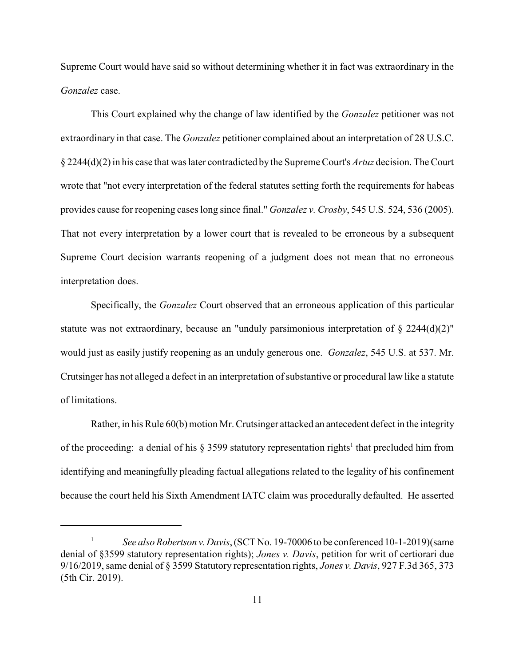Supreme Court would have said so without determining whether it in fact was extraordinary in the *Gonzalez* case.

This Court explained why the change of law identified by the *Gonzalez* petitioner was not extraordinary in that case. The *Gonzalez* petitioner complained about an interpretation of 28 U.S.C. § 2244(d)(2) in his case that was later contradicted by the Supreme Court's *Artuz* decision. The Court wrote that "not every interpretation of the federal statutes setting forth the requirements for habeas provides cause for reopening cases long since final." *Gonzalez v. Crosby*, 545 U.S. 524, 536 (2005). That not every interpretation by a lower court that is revealed to be erroneous by a subsequent Supreme Court decision warrants reopening of a judgment does not mean that no erroneous interpretation does.

Specifically, the *Gonzalez* Court observed that an erroneous application of this particular statute was not extraordinary, because an "unduly parsimonious interpretation of  $\S 2244(d)(2)$ " would just as easily justify reopening as an unduly generous one. *Gonzalez*, 545 U.S. at 537. Mr. Crutsinger has not alleged a defect in an interpretation of substantive or procedural law like a statute of limitations.

Rather, in his Rule 60(b) motion Mr. Crutsinger attacked an antecedent defect in the integrity of the proceeding: a denial of his  $\S 3599$  statutory representation rights<sup>1</sup> that precluded him from identifying and meaningfully pleading factual allegations related to the legality of his confinement because the court held his Sixth Amendment IATC claim was procedurally defaulted. He asserted

<sup>1</sup> *See also Robertson v.Davis*, (SCT No. 19-70006 to be conferenced 10-1-2019)(same denial of §3599 statutory representation rights); *Jones v. Davis*, petition for writ of certiorari due 9/16/2019, same denial of § 3599 Statutory representation rights, *Jones v. Davis*, 927 F.3d 365, 373 (5th Cir. 2019).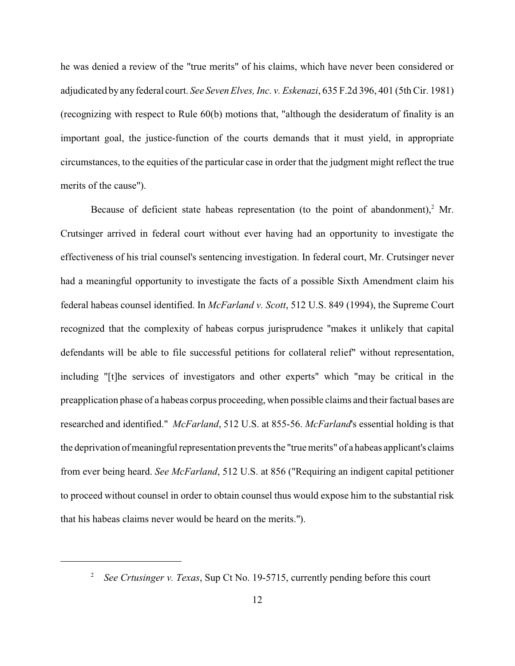he was denied a review of the "true merits" of his claims, which have never been considered or adjudicated by any federal court. *See Seven Elves, Inc. v. Eskenazi*, 635 F.2d 396, 401 (5th Cir. 1981) (recognizing with respect to Rule 60(b) motions that, "although the desideratum of finality is an important goal, the justice-function of the courts demands that it must yield, in appropriate circumstances, to the equities of the particular case in order that the judgment might reflect the true merits of the cause").

Because of deficient state habeas representation (to the point of abandonment), $2$  Mr. Crutsinger arrived in federal court without ever having had an opportunity to investigate the effectiveness of his trial counsel's sentencing investigation. In federal court, Mr. Crutsinger never had a meaningful opportunity to investigate the facts of a possible Sixth Amendment claim his federal habeas counsel identified. In *McFarland v. Scott*, 512 U.S. 849 (1994), the Supreme Court recognized that the complexity of habeas corpus jurisprudence "makes it unlikely that capital defendants will be able to file successful petitions for collateral relief" without representation, including "[t]he services of investigators and other experts" which "may be critical in the preapplication phase of a habeas corpus proceeding, when possible claims and their factual bases are researched and identified." *McFarland*, 512 U.S. at 855-56. *McFarland*'s essential holding is that the deprivation of meaningful representation prevents the "true merits" of a habeas applicant's claims from ever being heard. *See McFarland*, 512 U.S. at 856 ("Requiring an indigent capital petitioner to proceed without counsel in order to obtain counsel thus would expose him to the substantial risk that his habeas claims never would be heard on the merits.").

<sup>2</sup> *See Crtusinger v. Texas*, Sup Ct No. 19-5715, currently pending before this court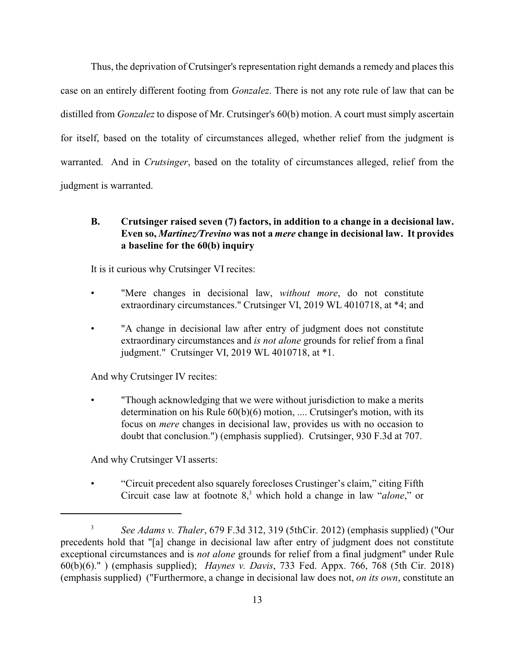Thus, the deprivation of Crutsinger's representation right demands a remedy and places this case on an entirely different footing from *Gonzalez*. There is not any rote rule of law that can be distilled from *Gonzalez* to dispose of Mr. Crutsinger's 60(b) motion. A court must simply ascertain for itself, based on the totality of circumstances alleged, whether relief from the judgment is warranted. And in *Crutsinger*, based on the totality of circumstances alleged, relief from the judgment is warranted.

## **B. Crutsinger raised seven (7) factors, in addition to a change in a decisional law. Even so,** *Martinez/Trevino* **was not a** *mere* **change in decisional law. It provides a baseline for the 60(b) inquiry**

It is it curious why Crutsinger VI recites:

- "Mere changes in decisional law, *without more*, do not constitute extraordinary circumstances." Crutsinger VI, 2019 WL 4010718, at \*4; and
- "A change in decisional law after entry of judgment does not constitute extraordinary circumstances and *is not alone* grounds for relief from a final judgment." Crutsinger VI, 2019 WL 4010718, at \*1.

And why Crutsinger IV recites:

• "Though acknowledging that we were without jurisdiction to make a merits determination on his Rule 60(b)(6) motion, .... Crutsinger's motion, with its focus on *mere* changes in decisional law, provides us with no occasion to doubt that conclusion.") (emphasis supplied). Crutsinger, 930 F.3d at 707.

And why Crutsinger VI asserts:

• "Circuit precedent also squarely forecloses Crustinger's claim," citing Fifth Circuit case law at footnote 8, <sup>3</sup> which hold a change in law "*alone*," or

<sup>3</sup> *See Adams v. Thaler*, 679 F.3d 312, 319 (5thCir. 2012) (emphasis supplied) ("Our precedents hold that "[a] change in decisional law after entry of judgment does not constitute exceptional circumstances and is *not alone* grounds for relief from a final judgment" under Rule 60(b)(6)." ) (emphasis supplied); *Haynes v. Davis*, 733 Fed. Appx. 766, 768 (5th Cir. 2018) (emphasis supplied) ("Furthermore, a change in decisional law does not, *on its own*, constitute an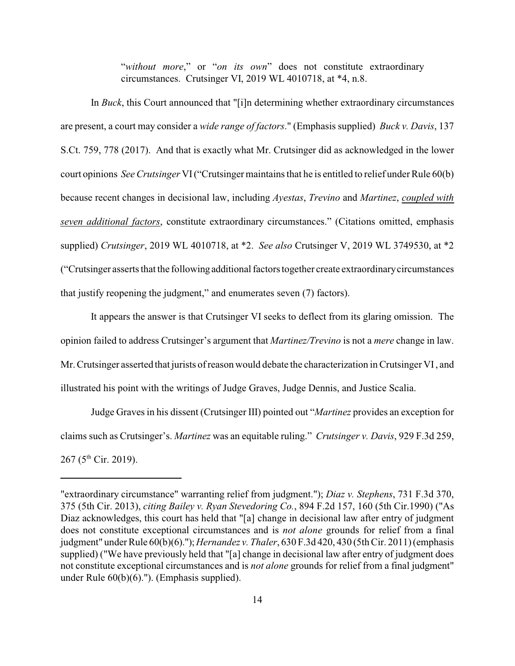"*without more*," or "*on its own*" does not constitute extraordinary circumstances. Crutsinger VI, 2019 WL 4010718, at \*4, n.8.

In *Buck*, this Court announced that "[i]n determining whether extraordinary circumstances are present, a court may consider a *wide range of factors*." (Emphasis supplied) *Buck v. Davis*, 137 S.Ct. 759, 778 (2017). And that is exactly what Mr. Crutsinger did as acknowledged in the lower court opinions *See Crutsinger* VI("Crutsinger maintains that he is entitled to relief under Rule 60(b) because recent changes in decisional law, including *Ayestas*, *Trevino* and *Martinez*, *coupled with seven additional factors*, constitute extraordinary circumstances." (Citations omitted, emphasis supplied) *Crutsinger*, 2019 WL 4010718, at \*2. *See also* Crutsinger V, 2019 WL 3749530, at \*2 ("Crutsinger asserts that the followingadditional factors together create extraordinarycircumstances that justify reopening the judgment," and enumerates seven (7) factors).

It appears the answer is that Crutsinger VI seeks to deflect from its glaring omission. The opinion failed to address Crutsinger's argument that *Martinez/Trevino* is not a *mere* change in law. Mr. Crutsinger asserted that jurists of reason would debate the characterization in Crutsinger VI, and illustrated his point with the writings of Judge Graves, Judge Dennis, and Justice Scalia.

Judge Graves in his dissent (Crutsinger III) pointed out "*Martinez* provides an exception for claims such as Crutsinger's. *Martinez* was an equitable ruling." *Crutsinger v. Davis*, 929 F.3d 259, 267 (5<sup>th</sup> Cir. 2019).

<sup>&</sup>quot;extraordinary circumstance" warranting relief from judgment."); *Diaz v. Stephens*, 731 F.3d 370, 375 (5th Cir. 2013), *citing Bailey v. Ryan Stevedoring Co.*, 894 F.2d 157, 160 (5th Cir.1990) ("As Diaz acknowledges, this court has held that "[a] change in decisional law after entry of judgment does not constitute exceptional circumstances and is *not alone* grounds for relief from a final judgment" under Rule 60(b)(6).");*Hernandez v. Thaler*, 630 F.3d 420, 430 (5th Cir. 2011) (emphasis supplied) ("We have previously held that "[a] change in decisional law after entry of judgment does not constitute exceptional circumstances and is *not alone* grounds for relief from a final judgment" under Rule 60(b)(6)."). (Emphasis supplied).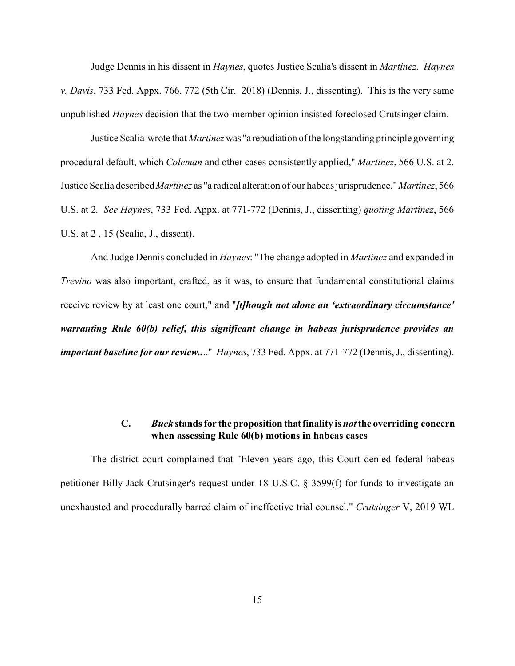Judge Dennis in his dissent in *Haynes*, quotes Justice Scalia's dissent in *Martinez*. *Haynes v. Davis*, 733 Fed. Appx. 766, 772 (5th Cir. 2018) (Dennis, J., dissenting). This is the very same unpublished *Haynes* decision that the two-member opinion insisted foreclosed Crutsinger claim.

Justice Scalia wrote that *Martinez*was "a repudiation of the longstanding principle governing procedural default, which *Coleman* and other cases consistently applied," *Martinez*, 566 U.S. at 2. Justice Scalia described *Martinez* as "a radical alteration of our habeas jurisprudence."*Martinez*, 566 U.S. at 2*. See Haynes*, 733 Fed. Appx. at 771-772 (Dennis, J., dissenting) *quoting Martinez*, 566 U.S. at 2 , 15 (Scalia, J., dissent).

And Judge Dennis concluded in *Haynes*: "The change adopted in *Martinez* and expanded in *Trevino* was also important, crafted, as it was, to ensure that fundamental constitutional claims receive review by at least one court," and "*[t]hough not alone an 'extraordinary circumstance' warranting Rule 60(b) relief, this significant change in habeas jurisprudence provides an important baseline for our review..*.." *Haynes*, 733 Fed. Appx. at 771-772 (Dennis, J., dissenting).

#### **C.** *Buck* **stands for the proposition thatfinality is** *not***the overriding concern when assessing Rule 60(b) motions in habeas cases**

The district court complained that "Eleven years ago, this Court denied federal habeas petitioner Billy Jack Crutsinger's request under 18 U.S.C. § 3599(f) for funds to investigate an unexhausted and procedurally barred claim of ineffective trial counsel." *Crutsinger* V, 2019 WL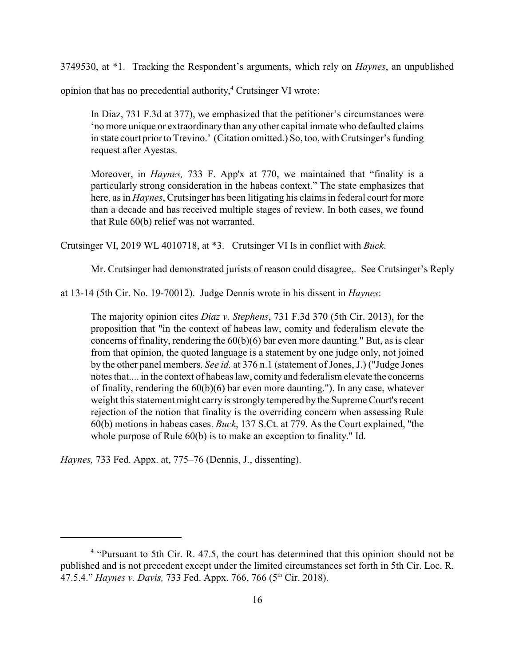3749530, at \*1. Tracking the Respondent's arguments, which rely on *Haynes*, an unpublished

opinion that has no precedential authority, 4 Crutsinger VI wrote:

In Diaz, 731 F.3d at 377), we emphasized that the petitioner's circumstances were 'no more unique or extraordinary than any other capital inmate who defaulted claims in state court prior to Trevino.' (Citation omitted.) So, too, with Crutsinger's funding request after Ayestas.

Moreover, in *Haynes,* 733 F. App'x at 770, we maintained that "finality is a particularly strong consideration in the habeas context." The state emphasizes that here, as in *Haynes*, Crutsinger has been litigating his claims in federal court for more than a decade and has received multiple stages of review. In both cases, we found that Rule 60(b) relief was not warranted.

Crutsinger VI, 2019 WL 4010718, at \*3. Crutsinger VI Is in conflict with *Buck*.

Mr. Crutsinger had demonstrated jurists of reason could disagree,. See Crutsinger's Reply

at 13-14 (5th Cir. No. 19-70012). Judge Dennis wrote in his dissent in *Haynes*:

The majority opinion cites *Diaz v. Stephens*, 731 F.3d 370 (5th Cir. 2013), for the proposition that "in the context of habeas law, comity and federalism elevate the concerns of finality, rendering the  $60(b)(6)$  bar even more daunting." But, as is clear from that opinion, the quoted language is a statement by one judge only, not joined by the other panel members. *See id.* at 376 n.1 (statement of Jones, J.) ("Judge Jones notes that.... in the context of habeas law, comity and federalism elevate the concerns of finality, rendering the 60(b)(6) bar even more daunting."). In any case, whatever weight this statement might carry is strongly tempered by the Supreme Court's recent rejection of the notion that finality is the overriding concern when assessing Rule 60(b) motions in habeas cases. *Buck*, 137 S.Ct. at 779. As the Court explained, "the whole purpose of Rule  $60(b)$  is to make an exception to finality." Id.

*Haynes,* 733 Fed. Appx. at, 775–76 (Dennis, J., dissenting).

<sup>&</sup>lt;sup>4</sup> "Pursuant to 5th Cir. R. 47.5, the court has determined that this opinion should not be published and is not precedent except under the limited circumstances set forth in 5th Cir. Loc. R. 47.5.4." *Haynes v. Davis, 733 Fed. Appx. 766, 766 (5<sup>th</sup> Cir. 2018).*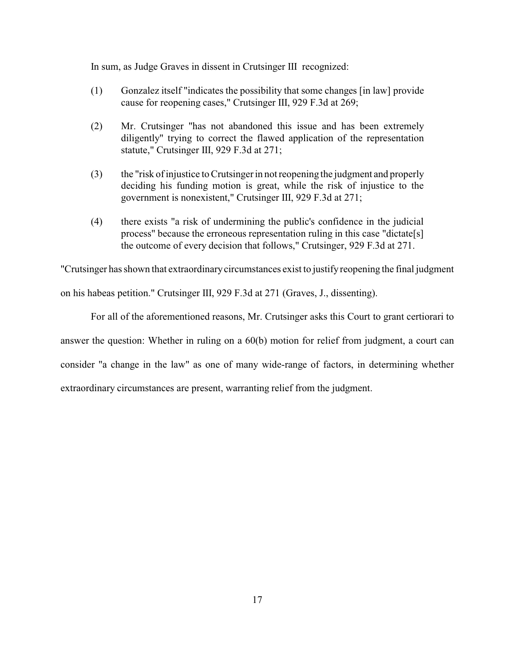In sum, as Judge Graves in dissent in Crutsinger III recognized:

- (1) Gonzalez itself "indicates the possibility that some changes [in law] provide cause for reopening cases," Crutsinger III, 929 F.3d at 269;
- (2) Mr. Crutsinger "has not abandoned this issue and has been extremely diligently" trying to correct the flawed application of the representation statute," Crutsinger III, 929 F.3d at 271;
- (3) the "risk of injustice to Crutsinger in not reopening the judgment and properly deciding his funding motion is great, while the risk of injustice to the government is nonexistent," Crutsinger III, 929 F.3d at 271;
- (4) there exists "a risk of undermining the public's confidence in the judicial process" because the erroneous representation ruling in this case "dictate[s] the outcome of every decision that follows," Crutsinger, 929 F.3d at 271.

"Crutsinger has shown that extraordinarycircumstances exist to justify reopening the final judgment

on his habeas petition." Crutsinger III, 929 F.3d at 271 (Graves, J., dissenting).

For all of the aforementioned reasons, Mr. Crutsinger asks this Court to grant certiorari to answer the question: Whether in ruling on a 60(b) motion for relief from judgment, a court can consider "a change in the law" as one of many wide-range of factors, in determining whether extraordinary circumstances are present, warranting relief from the judgment.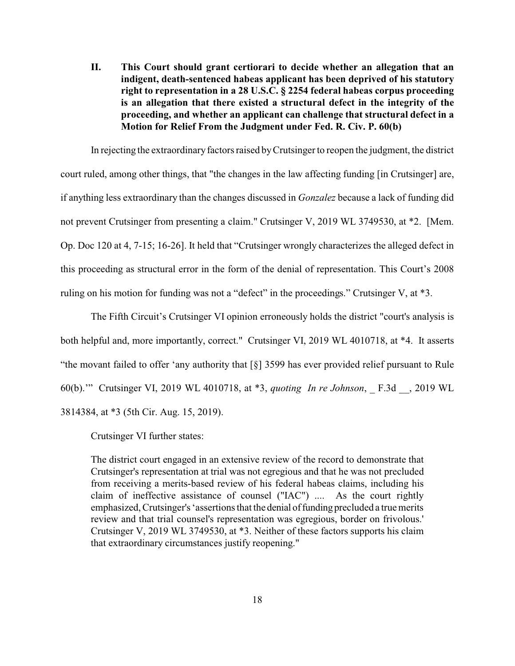**II. This Court should grant certiorari to decide whether an allegation that an indigent, death-sentenced habeas applicant has been deprived of his statutory right to representation in a 28 U.S.C. § 2254 federal habeas corpus proceeding is an allegation that there existed a structural defect in the integrity of the proceeding, and whether an applicant can challenge that structural defect in a Motion for Relief From the Judgment under Fed. R. Civ. P. 60(b)**

In rejecting the extraordinary factors raised by Crutsinger to reopen the judgment, the district court ruled, among other things, that "the changes in the law affecting funding [in Crutsinger] are, if anything less extraordinary than the changes discussed in *Gonzalez* because a lack of funding did not prevent Crutsinger from presenting a claim." Crutsinger V, 2019 WL 3749530, at \*2. [Mem. Op. Doc 120 at 4, 7-15; 16-26]. It held that "Crutsinger wrongly characterizes the alleged defect in this proceeding as structural error in the form of the denial of representation. This Court's 2008 ruling on his motion for funding was not a "defect" in the proceedings." Crutsinger V, at \*3.

The Fifth Circuit's Crutsinger VI opinion erroneously holds the district "court's analysis is both helpful and, more importantly, correct." Crutsinger VI, 2019 WL 4010718, at \*4. It asserts "the movant failed to offer 'any authority that [§] 3599 has ever provided relief pursuant to Rule 60(b).'" Crutsinger VI, 2019 WL 4010718, at \*3, *quoting In re Johnson*, \_ F.3d \_\_, 2019 WL 3814384, at \*3 (5th Cir. Aug. 15, 2019).

Crutsinger VI further states:

The district court engaged in an extensive review of the record to demonstrate that Crutsinger's representation at trial was not egregious and that he was not precluded from receiving a merits-based review of his federal habeas claims, including his claim of ineffective assistance of counsel ("IAC") .... As the court rightly emphasized, Crutsinger's 'assertions that the denial of funding precluded a true merits review and that trial counsel's representation was egregious, border on frivolous.' Crutsinger V, 2019 WL 3749530, at \*3. Neither of these factors supports his claim that extraordinary circumstances justify reopening."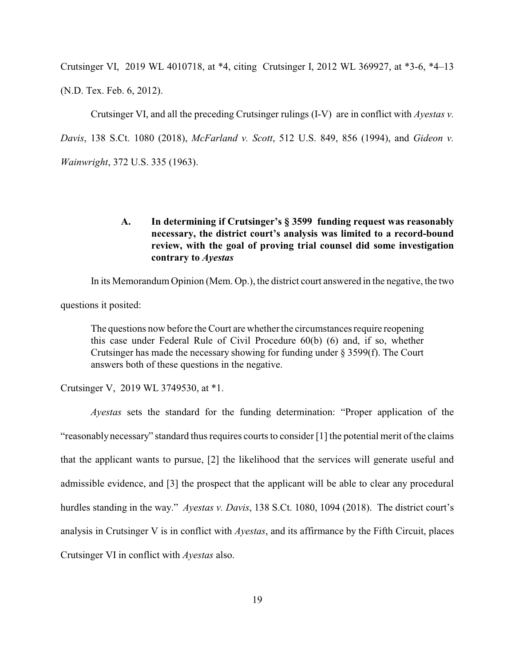Crutsinger VI, 2019 WL 4010718, at \*4, citing Crutsinger I, 2012 WL 369927, at \*3-6, \*4–13 (N.D. Tex. Feb. 6, 2012).

Crutsinger VI, and all the preceding Crutsinger rulings (I-V) are in conflict with *Ayestas v. Davis*, 138 S.Ct. 1080 (2018), *McFarland v. Scott*, 512 U.S. 849, 856 (1994), and *Gideon v. Wainwright*, 372 U.S. 335 (1963).

### **A. In determining if Crutsinger's § 3599 funding request was reasonably necessary, the district court's analysis was limited to a record-bound review, with the goal of proving trial counsel did some investigation contrary to** *Ayestas*

In its Memorandum Opinion (Mem. Op.), the district court answered in the negative, the two

questions it posited:

The questions now before the Court are whether the circumstances require reopening this case under Federal Rule of Civil Procedure 60(b) (6) and, if so, whether Crutsinger has made the necessary showing for funding under § 3599(f). The Court answers both of these questions in the negative.

Crutsinger V, 2019 WL 3749530, at \*1.

*Ayestas* sets the standard for the funding determination: "Proper application of the "reasonablynecessary" standard thus requires courts to consider [1] the potential merit of the claims that the applicant wants to pursue, [2] the likelihood that the services will generate useful and admissible evidence, and [3] the prospect that the applicant will be able to clear any procedural hurdles standing in the way." *Ayestas v. Davis*, 138 S.Ct. 1080, 1094 (2018). The district court's analysis in Crutsinger V is in conflict with *Ayestas*, and its affirmance by the Fifth Circuit, places Crutsinger VI in conflict with *Ayestas* also.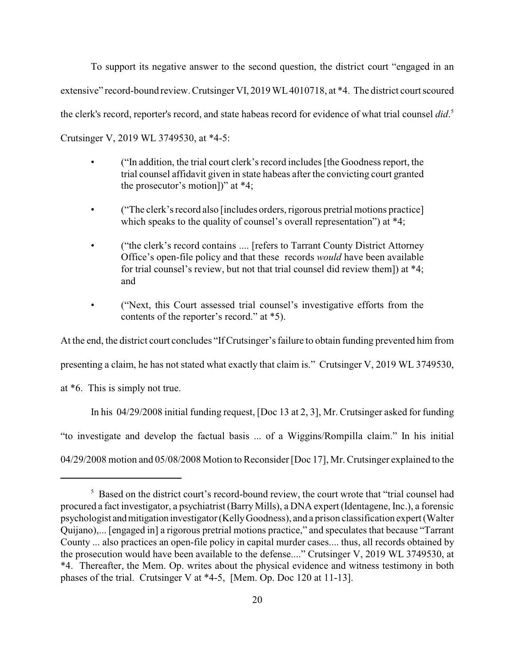To support its negative answer to the second question, the district court "engaged in an extensive" record-bound review. Crutsinger VI, 2019 WL 4010718, at \*4. The district court scoured the clerk's record, reporter's record, and state habeas record for evidence of what trial counsel *did*. 5 Crutsinger V, 2019 WL 3749530, at \*4-5:

- ("In addition, the trial court clerk's record includes [the Goodness report, the trial counsel affidavit given in state habeas after the convicting court granted the prosecutor's motion])" at \*4;
- ("The clerk's record also [includes orders, rigorous pretrial motions practice] which speaks to the quality of counsel's overall representation") at  $*4$ ;
- ("the clerk's record contains .... [refers to Tarrant County District Attorney Office's open-file policy and that these records *would* have been available for trial counsel's review, but not that trial counsel did review them]) at \*4; and
- ("Next, this Court assessed trial counsel's investigative efforts from the contents of the reporter's record." at \*5).

At the end, the district court concludes "IfCrutsinger's failure to obtain funding prevented him from

presenting a claim, he has not stated what exactly that claim is." Crutsinger V, 2019 WL 3749530,

at \*6. This is simply not true.

In his 04/29/2008 initial funding request, [Doc 13 at 2, 3], Mr. Crutsinger asked for funding "to investigate and develop the factual basis ... of a Wiggins/Rompilla claim." In his initial 04/29/2008 motion and 05/08/2008 Motion to Reconsider [Doc 17], Mr. Crutsinger explained to the

<sup>&</sup>lt;sup>5</sup> Based on the district court's record-bound review, the court wrote that "trial counsel had procured a fact investigator, a psychiatrist (Barry Mills), a DNA expert (Identagene, Inc.), a forensic psychologist andmitigation investigator (KellyGoodness), and a prison classification expert (Walter Quijano),... [engaged in] a rigorous pretrial motions practice," and speculates that because "Tarrant County ... also practices an open-file policy in capital murder cases.... thus, all records obtained by the prosecution would have been available to the defense...." Crutsinger V, 2019 WL 3749530, at \*4. Thereafter, the Mem. Op. writes about the physical evidence and witness testimony in both phases of the trial. Crutsinger V at \*4-5, [Mem. Op. Doc 120 at 11-13].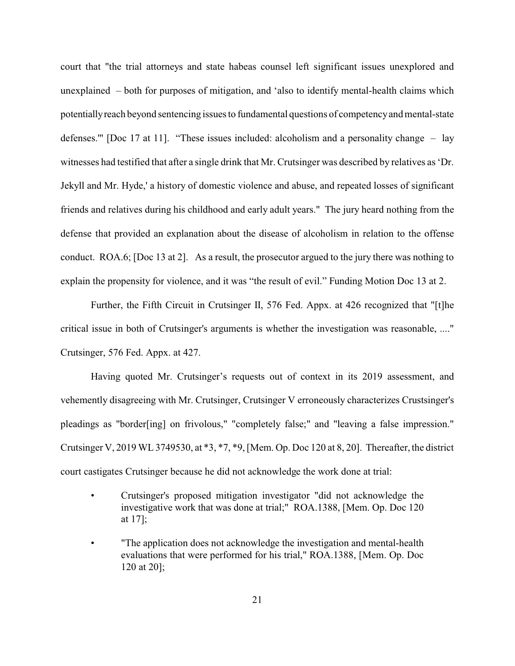court that "the trial attorneys and state habeas counsel left significant issues unexplored and unexplained – both for purposes of mitigation, and 'also to identify mental-health claims which potentiallyreach beyond sentencing issues to fundamental questions of competencyand mental-state defenses.'" [Doc 17 at 11]. "These issues included: alcoholism and a personality change – lay witnesses had testified that after a single drink that Mr. Crutsinger was described by relatives as 'Dr. Jekyll and Mr. Hyde,' a history of domestic violence and abuse, and repeated losses of significant friends and relatives during his childhood and early adult years." The jury heard nothing from the defense that provided an explanation about the disease of alcoholism in relation to the offense conduct. ROA.6; [Doc 13 at 2]. As a result, the prosecutor argued to the jury there was nothing to explain the propensity for violence, and it was "the result of evil." Funding Motion Doc 13 at 2.

Further, the Fifth Circuit in Crutsinger II, 576 Fed. Appx. at 426 recognized that "[t]he critical issue in both of Crutsinger's arguments is whether the investigation was reasonable, ...." Crutsinger, 576 Fed. Appx. at 427.

Having quoted Mr. Crutsinger's requests out of context in its 2019 assessment, and vehemently disagreeing with Mr. Crutsinger, Crutsinger V erroneously characterizes Crustsinger's pleadings as "border[ing] on frivolous," "completely false;" and "leaving a false impression." Crutsinger V, 2019 WL3749530, at \*3, \*7, \*9, [Mem. Op. Doc 120 at 8, 20]. Thereafter, the district court castigates Crutsinger because he did not acknowledge the work done at trial:

- Crutsinger's proposed mitigation investigator "did not acknowledge the investigative work that was done at trial;" ROA.1388, [Mem. Op. Doc 120 at 17];
- "The application does not acknowledge the investigation and mental-health evaluations that were performed for his trial," ROA.1388, [Mem. Op. Doc 120 at 20];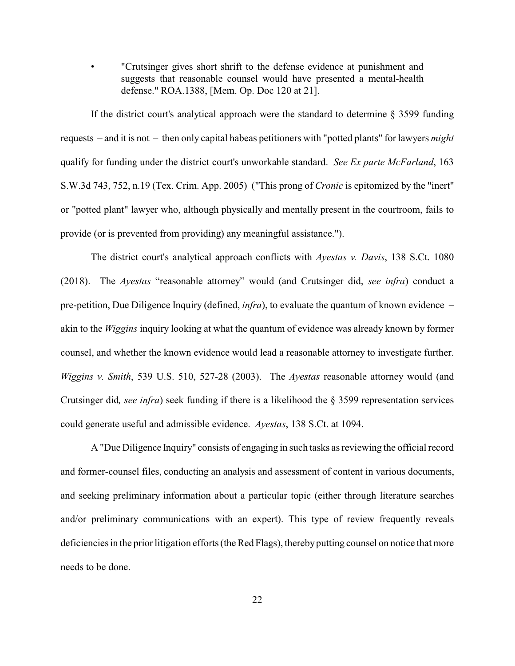• "Crutsinger gives short shrift to the defense evidence at punishment and suggests that reasonable counsel would have presented a mental-health defense." ROA.1388, [Mem. Op. Doc 120 at 21].

If the district court's analytical approach were the standard to determine § 3599 funding requests – and it is not – then only capital habeas petitioners with "potted plants" for lawyers *might* qualify for funding under the district court's unworkable standard. *See Ex parte McFarland*, 163 S.W.3d 743, 752, n.19 (Tex. Crim. App. 2005) ("This prong of *Cronic* is epitomized by the "inert" or "potted plant" lawyer who, although physically and mentally present in the courtroom, fails to provide (or is prevented from providing) any meaningful assistance.").

The district court's analytical approach conflicts with *Ayestas v. Davis*, 138 S.Ct. 1080 (2018). The *Ayestas* "reasonable attorney" would (and Crutsinger did, *see infra*) conduct a pre-petition, Due Diligence Inquiry (defined, *infra*), to evaluate the quantum of known evidence – akin to the *Wiggins* inquiry looking at what the quantum of evidence was already known by former counsel, and whether the known evidence would lead a reasonable attorney to investigate further. *Wiggins v. Smith*, 539 U.S. 510, 527-28 (2003). The *Ayestas* reasonable attorney would (and Crutsinger did*, see infra*) seek funding if there is a likelihood the § 3599 representation services could generate useful and admissible evidence. *Ayestas*, 138 S.Ct. at 1094.

A "Due Diligence Inquiry" consists of engaging in such tasks as reviewing the official record and former-counsel files, conducting an analysis and assessment of content in various documents, and seeking preliminary information about a particular topic (either through literature searches and/or preliminary communications with an expert). This type of review frequently reveals deficiencies in the prior litigation efforts (the Red Flags), therebyputting counsel on notice that more needs to be done.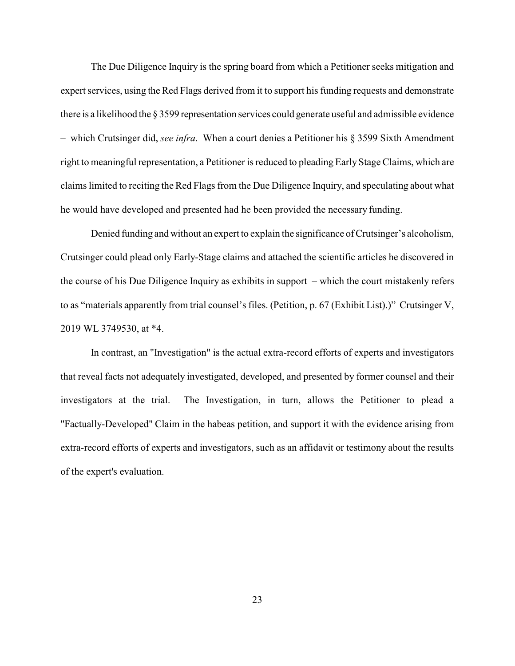The Due Diligence Inquiry is the spring board from which a Petitioner seeks mitigation and expert services, using the Red Flags derived from it to support his funding requests and demonstrate there is a likelihood the § 3599 representation services could generate useful and admissible evidence – which Crutsinger did, *see infra*. When a court denies a Petitioner his § 3599 Sixth Amendment right to meaningful representation, a Petitioner is reduced to pleading Early Stage Claims, which are claims limited to reciting the Red Flags from the Due Diligence Inquiry, and speculating about what he would have developed and presented had he been provided the necessary funding.

Denied funding and without an expert to explain the significance of Crutsinger's alcoholism, Crutsinger could plead only Early-Stage claims and attached the scientific articles he discovered in the course of his Due Diligence Inquiry as exhibits in support – which the court mistakenly refers to as "materials apparently from trial counsel's files. (Petition, p. 67 (Exhibit List).)" Crutsinger V, 2019 WL 3749530, at \*4.

In contrast, an "Investigation" is the actual extra-record efforts of experts and investigators that reveal facts not adequately investigated, developed, and presented by former counsel and their investigators at the trial. The Investigation, in turn, allows the Petitioner to plead a "Factually-Developed" Claim in the habeas petition, and support it with the evidence arising from extra-record efforts of experts and investigators, such as an affidavit or testimony about the results of the expert's evaluation.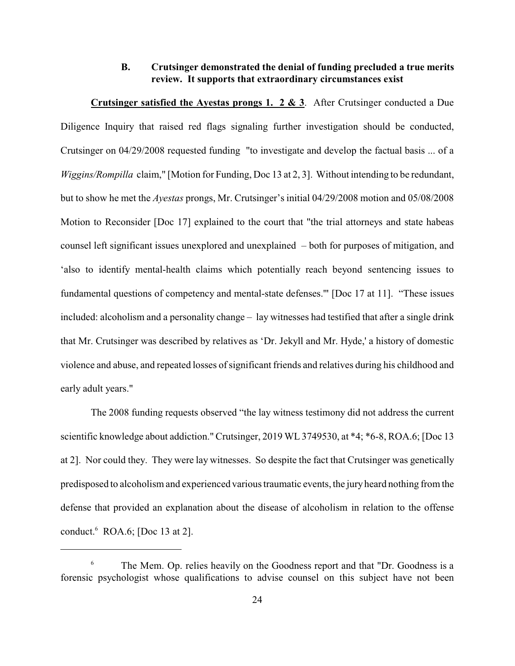### **B. Crutsinger demonstrated the denial of funding precluded a true merits review. It supports that extraordinary circumstances exist**

**Crutsinger satisfied the Ayestas prongs 1. 2 & 3**. After Crutsinger conducted a Due Diligence Inquiry that raised red flags signaling further investigation should be conducted, Crutsinger on 04/29/2008 requested funding "to investigate and develop the factual basis ... of a *Wiggins/Rompilla* claim," [Motion for Funding, Doc 13 at 2, 3]. Without intending to be redundant, but to show he met the *Ayestas* prongs, Mr. Crutsinger's initial 04/29/2008 motion and 05/08/2008 Motion to Reconsider [Doc 17] explained to the court that "the trial attorneys and state habeas counsel left significant issues unexplored and unexplained – both for purposes of mitigation, and 'also to identify mental-health claims which potentially reach beyond sentencing issues to fundamental questions of competency and mental-state defenses.'" [Doc 17 at 11]. "These issues included: alcoholism and a personality change – lay witnesses had testified that after a single drink that Mr. Crutsinger was described by relatives as 'Dr. Jekyll and Mr. Hyde,' a history of domestic violence and abuse, and repeated losses ofsignificant friends and relatives during his childhood and early adult years."

The 2008 funding requests observed "the lay witness testimony did not address the current scientific knowledge about addiction." Crutsinger, 2019 WL 3749530, at \*4; \*6-8, ROA.6; [Doc 13 at 2]. Nor could they. They were lay witnesses. So despite the fact that Crutsinger was genetically predisposed to alcoholism and experienced various traumatic events, the jury heard nothing from the defense that provided an explanation about the disease of alcoholism in relation to the offense conduct.<sup>6</sup> ROA.6; [Doc 13 at 2].

<sup>&</sup>lt;sup>6</sup> The Mem. Op. relies heavily on the Goodness report and that "Dr. Goodness is a forensic psychologist whose qualifications to advise counsel on this subject have not been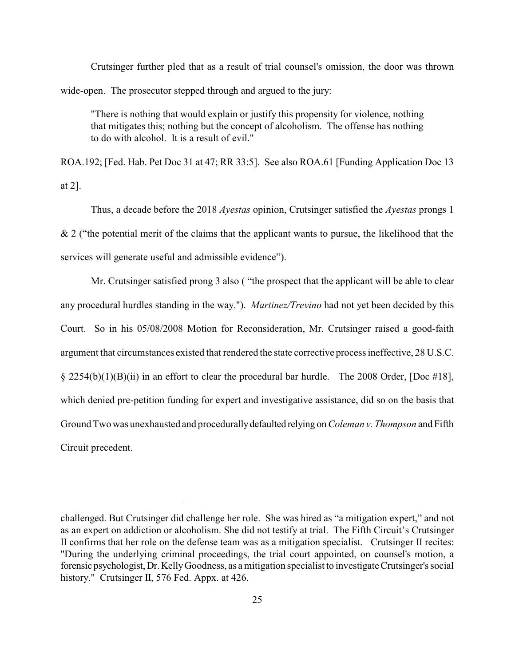Crutsinger further pled that as a result of trial counsel's omission, the door was thrown wide-open. The prosecutor stepped through and argued to the jury:

"There is nothing that would explain or justify this propensity for violence, nothing that mitigates this; nothing but the concept of alcoholism. The offense has nothing to do with alcohol. It is a result of evil."

ROA.192; [Fed. Hab. Pet Doc 31 at 47; RR 33:5]. See also ROA.61 [Funding Application Doc 13 at 2].

Thus, a decade before the 2018 *Ayestas* opinion, Crutsinger satisfied the *Ayestas* prongs 1  $& 2$  ("the potential merit of the claims that the applicant wants to pursue, the likelihood that the services will generate useful and admissible evidence").

Mr. Crutsinger satisfied prong 3 also ( "the prospect that the applicant will be able to clear any procedural hurdles standing in the way."). *Martinez/Trevino* had not yet been decided by this Court. So in his 05/08/2008 Motion for Reconsideration, Mr. Crutsinger raised a good-faith argument that circumstances existed that rendered the state corrective process ineffective, 28 U.S.C.  $\S$  2254(b)(1)(B)(ii) in an effort to clear the procedural bar hurdle. The 2008 Order, [Doc #18], which denied pre-petition funding for expert and investigative assistance, did so on the basis that Ground Two was unexhausted and procedurallydefaulted relying on *Coleman v. Thompson* and Fifth Circuit precedent.

challenged. But Crutsinger did challenge her role. She was hired as "a mitigation expert," and not as an expert on addiction or alcoholism. She did not testify at trial. The Fifth Circuit's Crutsinger II confirms that her role on the defense team was as a mitigation specialist. Crutsinger II recites: "During the underlying criminal proceedings, the trial court appointed, on counsel's motion, a forensic psychologist,Dr.KellyGoodness, as a mitigation specialist to investigate Crutsinger's social history." Crutsinger II, 576 Fed. Appx. at 426.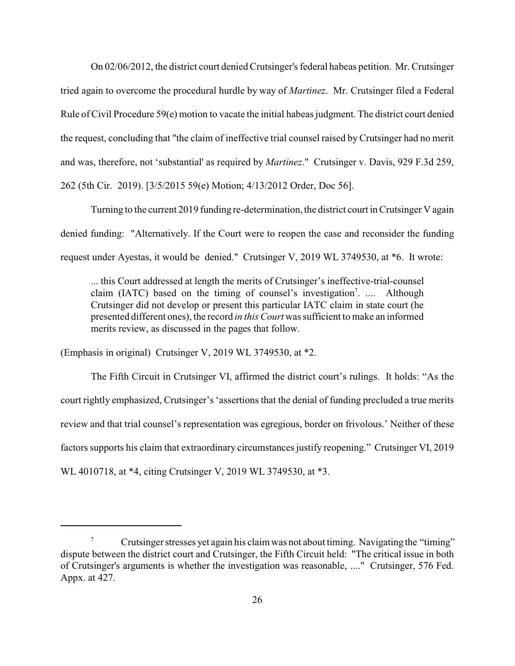On 02/06/2012, the district court denied Crutsinger's federal habeas petition. Mr. Crutsinger tried again to overcome the procedural hurdle by way of *Martinez*. Mr. Crutsinger filed a Federal Rule of Civil Procedure 59(e) motion to vacate the initial habeas judgment. The district court denied the request, concluding that "the claim of ineffective trial counsel raised by Crutsinger had no merit and was, therefore, not 'substantial' as required by *Martinez*." Crutsinger v. Davis, 929 F.3d 259, 262 (5th Cir. 2019). [3/5/2015 59(e) Motion; 4/13/2012 Order, Doc 56].

Turning to the current 2019 funding re-determination, the district court in Crutsinger V again denied funding: "Alternatively. If the Court were to reopen the case and reconsider the funding request under Ayestas, it would be denied." Crutsinger V, 2019 WL 3749530, at \*6. It wrote:

... this Court addressed at length the merits of Crutsinger's ineffective-trial-counsel claim (IATC) based on the timing of counsel's investigation<sup>7</sup>. .... Although Crutsinger did not develop or present this particular IATC claim in state court (he presented different ones), the record *in this Court* was sufficient to make an informed merits review, as discussed in the pages that follow.

(Emphasis in original) Crutsinger V, 2019 WL 3749530, at \*2.

The Fifth Circuit in Crutsinger VI, affirmed the district court's rulings. It holds: "As the court rightly emphasized, Crutsinger's 'assertions that the denial of funding precluded a true merits review and that trial counsel's representation was egregious, border on frivolous.' Neither of these factors supports his claim that extraordinary circumstances justify reopening." Crutsinger VI, 2019 WL 4010718, at \*4, citing Crutsinger V, 2019 WL 3749530, at \*3.

 $7\degree$  Crutsinger stresses yet again his claim was not about timing. Navigating the "timing" dispute between the district court and Crutsinger, the Fifth Circuit held: "The critical issue in both of Crutsinger's arguments is whether the investigation was reasonable, ...." Crutsinger, 576 Fed. Appx. at 427.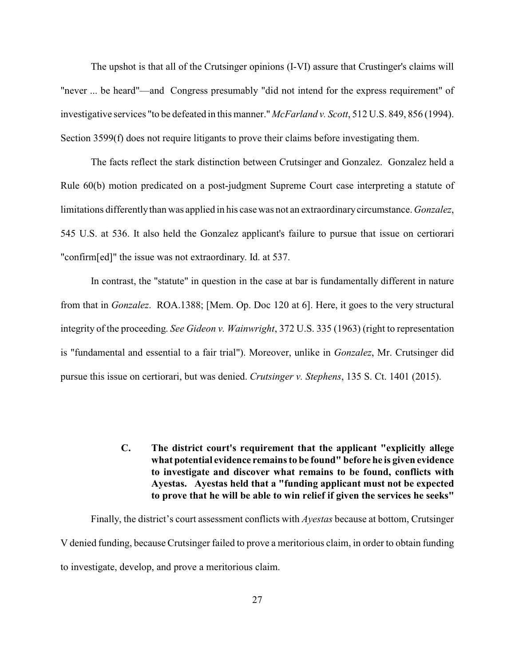The upshot is that all of the Crutsinger opinions (I-VI) assure that Crustinger's claims will "never ... be heard"—and Congress presumably "did not intend for the express requirement" of investigative services "to be defeated in this manner." *McFarland v. Scott*, 512 U.S. 849, 856 (1994). Section 3599(f) does not require litigants to prove their claims before investigating them.

The facts reflect the stark distinction between Crutsinger and Gonzalez. Gonzalez held a Rule 60(b) motion predicated on a post-judgment Supreme Court case interpreting a statute of limitations differentlythan was applied in his case was not an extraordinarycircumstance. *Gonzalez*, 545 U.S. at 536. It also held the Gonzalez applicant's failure to pursue that issue on certiorari "confirm[ed]" the issue was not extraordinary. Id. at 537.

In contrast, the "statute" in question in the case at bar is fundamentally different in nature from that in *Gonzalez*. ROA.1388; [Mem. Op. Doc 120 at 6]. Here, it goes to the very structural integrity of the proceeding. *See Gideon v. Wainwright*, 372 U.S. 335 (1963) (right to representation is "fundamental and essential to a fair trial"). Moreover, unlike in *Gonzalez*, Mr. Crutsinger did pursue this issue on certiorari, but was denied. *Crutsinger v. Stephens*, 135 S. Ct. 1401 (2015).

> **C. The district court's requirement that the applicant "explicitly allege what potential evidence remains to be found" before he is given evidence to investigate and discover what remains to be found, conflicts with Ayestas. Ayestas held that a "funding applicant must not be expected to prove that he will be able to win relief if given the services he seeks"**

Finally, the district's court assessment conflicts with *Ayestas* because at bottom, Crutsinger V denied funding, because Crutsinger failed to prove a meritorious claim, in order to obtain funding to investigate, develop, and prove a meritorious claim.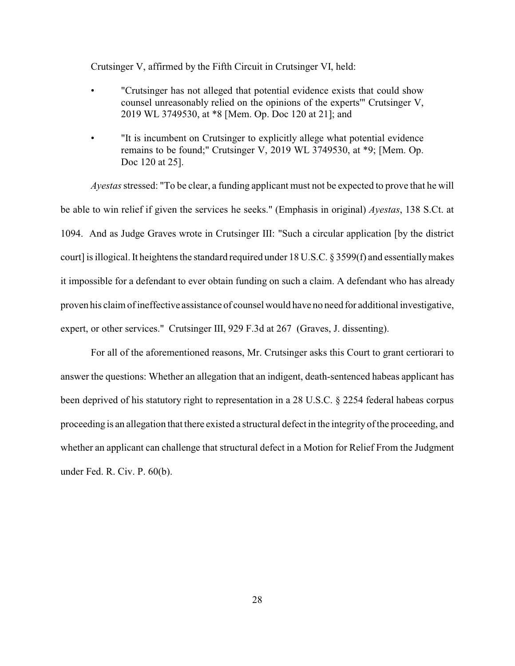Crutsinger V, affirmed by the Fifth Circuit in Crutsinger VI, held:

- "Crutsinger has not alleged that potential evidence exists that could show counsel unreasonably relied on the opinions of the experts'" Crutsinger V, 2019 WL 3749530, at \*8 [Mem. Op. Doc 120 at 21]; and
- "It is incumbent on Crutsinger to explicitly allege what potential evidence remains to be found;" Crutsinger V, 2019 WL 3749530, at \*9; [Mem. Op. Doc 120 at 25].

*Ayestas*stressed: "To be clear, a funding applicant must not be expected to prove that he will be able to win relief if given the services he seeks." (Emphasis in original) *Ayestas*, 138 S.Ct. at 1094. And as Judge Graves wrote in Crutsinger III: "Such a circular application [by the district court] is illogical. It heightens the standard required under 18 U.S.C. § 3599(f) and essentiallymakes it impossible for a defendant to ever obtain funding on such a claim. A defendant who has already proven his claim of ineffective assistance of counsel would have no need for additional investigative, expert, or other services." Crutsinger III, 929 F.3d at 267 (Graves, J. dissenting).

For all of the aforementioned reasons, Mr. Crutsinger asks this Court to grant certiorari to answer the questions: Whether an allegation that an indigent, death-sentenced habeas applicant has been deprived of his statutory right to representation in a 28 U.S.C. § 2254 federal habeas corpus proceeding is an allegation that there existed a structural defect in the integrity of the proceeding, and whether an applicant can challenge that structural defect in a Motion for Relief From the Judgment under Fed. R. Civ. P. 60(b).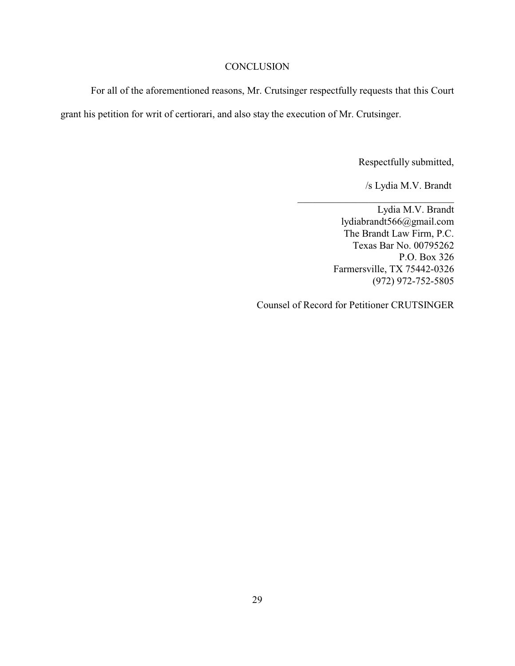#### **CONCLUSION**

For all of the aforementioned reasons, Mr. Crutsinger respectfully requests that this Court grant his petition for writ of certiorari, and also stay the execution of Mr. Crutsinger.

Respectfully submitted,

/s Lydia M.V. Brandt

Lydia M.V. Brandt lydiabrandt566@gmail.com The Brandt Law Firm, P.C. Texas Bar No. 00795262 P.O. Box 326 Farmersville, TX 75442-0326 (972) 972-752-5805

\_\_\_\_\_\_\_\_\_\_\_\_\_\_\_\_\_\_\_\_\_\_\_\_\_\_\_\_\_\_\_

Counsel of Record for Petitioner CRUTSINGER